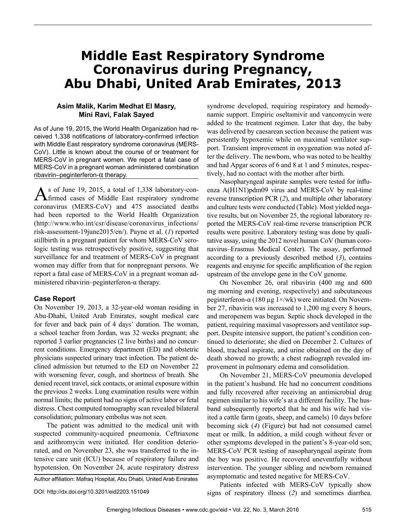# **Middle East Respiratory Syndrome Coronavirus during Pregnancy, Abu Dhabi, United Arab Emirates, 2013**

## **Asim Malik, Karim Medhat El Masry, Mini Ravi, Falak Sayed**

As of June 19, 2015, the World Health Organization had received 1,338 notifications of laboratory-confirmed infection with Middle East respiratory syndrome coronavirus (MERS-CoV). Little is known about the course of or treatment for MERS-CoV in pregnant women. We report a fatal case of MERS-CoV in a pregnant woman administered combination  $rib$ avirin–peginterferon- $\alpha$  therapy.

As of June 19, 2015, a total of 1,338 laboratory-con-firmed cases of Middle East respiratory syndrome coronavirus (MERS-CoV) and 475 associated deaths had been reported to the World Health Organization (http://www.who.int/csr/disease/coronavirus\_infections/ risk-assessment-19june2015/en/). Payne et al. (*1*) reported stillbirth in a pregnant patient for whom MERS-CoV serologic testing was retrospectively positive, suggesting that surveillance for and treatment of MERS-CoV in pregnant women may differ from that for nonpregnant persons. We report a fatal case of MERS-CoV in a pregnant woman administered ribavirin–peginterferon- $\alpha$  therapy.

#### **Case Report**

On November 19, 2013, a 32-year-old woman residing in Abu-Dhabi, United Arab Emirates, sought medical care for fever and back pain of 4 days' duration. The woman, a school teacher from Jordan, was 32 weeks pregnant; she reported 3 earlier pregnancies (2 live births) and no concurrent conditions. Emergency department (ED) and obstetric physicians suspected urinary tract infection. The patient declined admission but returned to the ED on November 22 with worsening fever, cough, and shortness of breath. She denied recent travel, sick contacts, or animal exposure within the previous 2 weeks. Lung examination results were within normal limits; the patient had no signs of active labor or fetal distress. Chest computed tomography scan revealed bilateral consolidation; pulmonary embolus was not seen.

The patient was admitted to the medical unit with suspected community-acquired pneumonia. Ceftriaxone and azithromycin were initiated. Her condition deteriorated, and on November 23, she was transferred to the intensive care unit (ICU) because of respiratory failure and hypotension. On November 24, acute respiratory distress

Author affiliation: Mafraq Hospital, Abu Dhabi, United Arab Emirates

syndrome developed, requiring respiratory and hemodynamic support. Empiric oseltamivir and vancomycin were added to the treatment regimen. Later that day, the baby was delivered by caesarean section because the patient was persistently hypoxemic while on maximal ventilator support. Transient improvement in oxygenation was noted after the delivery. The newborn, who was noted to be healthy and had Apgar scores of 6 and 8 at 1 and 5 minutes, respectively, had no contact with the mother after birth.

Nasopharyngeal aspirate samples were tested for influenza A(H1N1)pdm09 virus and MERS-CoV by real-time reverse transcription PCR (*2*), and multiple other laboratory and culture tests were conducted (Table). Most yielded negative results, but on November 25, the regional laboratory reported the MERS-CoV real-time reverse transcription PCR results were positive. Laboratory testing was done by qualitative assay, using the 2012 novel human CoV (human coronavirus–Erasmus Medical Center). The assay, performed according to a previously described method (*3*), contains reagents and enzyme for specific amplification of the region upstream of the envelope gene in the CoV genome.

On November 26, oral ribavirin (400 mg and 600 mg morning and evening, respectively) and subcutaneous peginterferon-α (180 μg 1×/wk) were initiated. On November 27, ribavirin was increased to 1,200 mg every 8 hours, and meropenem was begun. Septic shock developed in the patient, requiring maximal vasopressors and ventilator support. Despite intensive support, the patient's condition continued to deteriorate; she died on December 2. Cultures of blood, tracheal aspirate, and urine obtained on the day of death showed no growth; a chest radiograph revealed improvement in pulmonary edema and consolidation.

On November 21, MERS-CoV pneumonia developed in the patient's husband. He had no concurrent conditions and fully recovered after receiving an antimicrobial drug regimen similar to his wife's at a different facility. The husband subsequently reported that he and his wife had visited a cattle farm (goats, sheep, and camels) 10 days before becoming sick (*4*) (Figure) but had not consumed camel meat or milk. In addition, a mild cough without fever or other symptoms developed in the patient's 8-year-old son; MERS-CoV PCR testing of nasopharyngeal aspirate from the boy was positive. He recovered uneventfully without intervention. The younger sibling and newborn remained asymptomatic and tested negative for MERS-CoV.

Patients infected with MERS-CoV typically show signs of respiratory illness (*2*) and sometimes diarrhea.

DOI: http://dx.doi.org/10.3201/eid2203.151049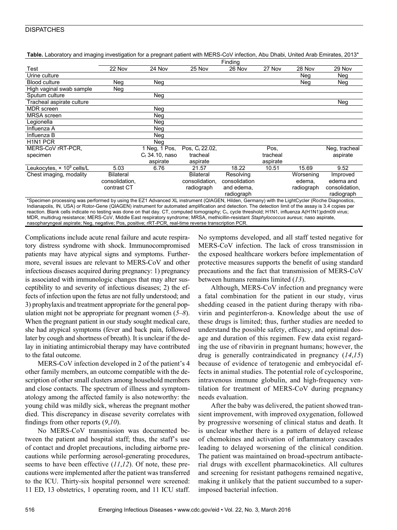### **DISPATCHES**

| Table. Laboratory and imaging investigation for a pregnant patient with MERS-CoV infection, Abu Dhabi, United Arab Emirates, 2013* |  |
|------------------------------------------------------------------------------------------------------------------------------------|--|
|------------------------------------------------------------------------------------------------------------------------------------|--|

|                                                                                                                                               | Finding          |                   |                            |               |          |            |                |  |  |
|-----------------------------------------------------------------------------------------------------------------------------------------------|------------------|-------------------|----------------------------|---------------|----------|------------|----------------|--|--|
| Test                                                                                                                                          | 22 Nov           | 24 Nov            | 25 Nov                     | 26 Nov        | 27 Nov   | 28 Nov     | 29 Nov         |  |  |
| Urine culture                                                                                                                                 |                  |                   |                            |               |          | Neg        | Neg            |  |  |
| <b>Blood culture</b>                                                                                                                          | Neg              | Neg               |                            |               |          | Neg        | Neg            |  |  |
| High vaginal swab sample                                                                                                                      | Neg              |                   |                            |               |          |            |                |  |  |
| Sputum culture                                                                                                                                |                  | Neg               |                            |               |          |            |                |  |  |
| Tracheal aspirate culture                                                                                                                     |                  |                   |                            |               |          |            | Neg            |  |  |
| <b>MDR</b> screen                                                                                                                             |                  | Neg               |                            |               |          |            |                |  |  |
| <b>MRSA</b> screen                                                                                                                            |                  | Neg               |                            |               |          |            |                |  |  |
| Legionella                                                                                                                                    |                  | Neg               |                            |               |          |            |                |  |  |
| Influenza A                                                                                                                                   |                  | Neg               |                            |               |          |            |                |  |  |
| Influenza B                                                                                                                                   |                  | Neg               |                            |               |          |            |                |  |  |
| H <sub>1</sub> N <sub>1</sub> PCR                                                                                                             |                  | Neg               |                            |               |          |            |                |  |  |
| MERS-CoV rRT-PCR.                                                                                                                             |                  | 1 Neg, 1 Pos,     | Pos. C <sub>t</sub> 22.02. |               | Pos.     |            | Neg, tracheal  |  |  |
| specimen                                                                                                                                      |                  | $C_t$ 34.10, naso | tracheal                   |               | tracheal |            | aspirate       |  |  |
|                                                                                                                                               |                  | aspirate          | aspirate                   |               | aspirate |            |                |  |  |
| Leukocytes, $\times$ 10 <sup>9</sup> cells/L                                                                                                  | 5.03             | 6.76              | 21.57                      | 18.22         | 10.51    | 15.69      | 9.52           |  |  |
| Chest imaging, modality                                                                                                                       | <b>Bilateral</b> |                   | <b>Bilateral</b>           | Resolving     |          | Worsening  | Improved       |  |  |
|                                                                                                                                               | consolidation,   |                   | consolidation,             | consolidation |          | edema.     | edema and      |  |  |
|                                                                                                                                               | contrast CT      |                   | radiograph                 | and edema,    |          | radiograph | consolidation, |  |  |
|                                                                                                                                               |                  |                   |                            | radiograph    |          |            | radiograph     |  |  |
| *Specimen processing was performed by using the EZ1 Advanced XL instrument (QIAGEN, Hilden, Germany) with the LightCycler (Roche Diagnostics, |                  |                   |                            |               |          |            |                |  |  |

Indianapolis, IN, USA) or Rotor-Gene (QIAGEN) instrument for automated amplification and detection. The detection limit of the assay is 3.4 copies per reaction. Blank cells indicate no testing was done on that day. CT, computed tomography; C<sub>t</sub>, cycle threshold; H1N1, influenza A(H1N1)pdm09 virus; MDR, multidrug resistance; MERS-CoV, Middle East respiratory syndrome; MRSA, methicillin-resistant Staphylococcus aureus; naso aspirate, nasopharyngeal aspirate; Neg, negative; Pos, positive; rRT-PCR, real-time reverse transcription PCR.

Complications include acute renal failure and acute respiratory distress syndrome with shock. Immunocompromised patients may have atypical signs and symptoms. Furthermore, several issues are relevant to MERS-CoV and other infectious diseases acquired during pregnancy: 1) pregnancy is associated with immunologic changes that may alter susceptibility to and severity of infectious diseases; 2) the effects of infection upon the fetus are not fully understood; and 3) prophylaxis and treatment appropriate for the general population might not be appropriate for pregnant women (*5*–*8*). When the pregnant patient in our study sought medical care, she had atypical symptoms (fever and back pain, followed later by cough and shortness of breath). It is unclear if the delay in initiating antimicrobial therapy may have contributed to the fatal outcome.

MERS-CoV infection developed in 2 of the patient's 4 other family members, an outcome compatible with the description of other small clusters among household members and close contacts. The spectrum of illness and symptomatology among the affected family is also noteworthy: the young child was mildly sick, whereas the pregnant mother died. This discrepancy in disease severity correlates with findings from other reports (*9*,*10*).

No MERS-CoV transmission was documented between the patient and hospital staff; thus, the staff's use of contact and droplet precautions, including airborne precautions while performing aerosol-generating procedures, seems to have been effective (*11*,*12*). Of note, these precautions were implemented after the patient was transferred to the ICU. Thirty-six hospital personnel were screened: 11 ED, 13 obstetrics, 1 operating room, and 11 ICU staff.

No symptoms developed, and all staff tested negative for MERS-CoV infection. The lack of cross transmission in the exposed healthcare workers before implementation of protective measures supports the benefit of using standard precautions and the fact that transmission of MERS-CoV between humans remains limited (*13*).

Although, MERS-CoV infection and pregnancy were a fatal combination for the patient in our study, virus shedding ceased in the patient during therapy with ribavirin and peginterferon-a. Knowledge about the use of these drugs is limited; thus, further studies are needed to understand the possible safety, efficacy, and optimal dosage and duration of this regimen. Few data exist regarding the use of ribavirin in pregnant humans; however, the drug is generally contraindicated in pregnancy (*14*,*15*) because of evidence of teratogenic and embryocidal effects in animal studies. The potential role of cyclosporine, intravenous immune globulin, and high-frequency ventilation for treatment of MERS-CoV during pregnancy needs evaluation.

After the baby was delivered, the patient showed transient improvement, with improved oxygenation, followed by progressive worsening of clinical status and death. It is unclear whether there is a pattern of delayed release of chemokines and activation of inflammatory cascades leading to delayed worsening of the clinical condition. The patient was maintained on broad-spectrum antibacterial drugs with excellent pharmacokinetics. All cultures and screening for resistant pathogens remained negative, making it unlikely that the patient succumbed to a superimposed bacterial infection.